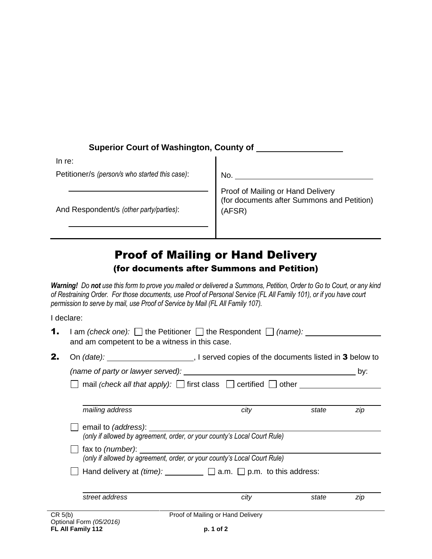| <b>Superior Court of Washington, County of</b> |                                                                                           |  |  |
|------------------------------------------------|-------------------------------------------------------------------------------------------|--|--|
| In re:                                         |                                                                                           |  |  |
| Petitioner/s (person/s who started this case): | No.                                                                                       |  |  |
| And Respondent/s (other party/parties):        | Proof of Mailing or Hand Delivery<br>(for documents after Summons and Petition)<br>(AFSR) |  |  |

## Proof of Mailing or Hand Delivery

## (for documents after Summons and Petition)

*Warning! Do not use this form to prove you mailed or delivered a Summons, Petition, Order to Go to Court, or any kind of Restraining Order. For those documents, use Proof of Personal Service (FL All Family 101), or if you have court permission to serve by mail, use Proof of Service by Mail (FL All Family 107).* 

I declare:

|                                                                                  | Optional Form (05/2016)<br>FL All Family 112                                                                                                      | p. 1 of 2                         |       |     |  |  |
|----------------------------------------------------------------------------------|---------------------------------------------------------------------------------------------------------------------------------------------------|-----------------------------------|-------|-----|--|--|
| CR 5(b)                                                                          |                                                                                                                                                   | Proof of Mailing or Hand Delivery |       |     |  |  |
|                                                                                  | street address                                                                                                                                    | city                              | state | zip |  |  |
| Hand delivery at $(time):$ ____________ $\Box$ a.m. $\Box$ p.m. to this address: |                                                                                                                                                   |                                   |       |     |  |  |
|                                                                                  | (only if allowed by agreement, order, or your county's Local Court Rule)                                                                          |                                   |       |     |  |  |
|                                                                                  | email to (address): <u>contained</u><br>(only if allowed by agreement, order, or your county's Local Court Rule)                                  |                                   |       |     |  |  |
|                                                                                  | mailing address                                                                                                                                   | city                              | state | zip |  |  |
|                                                                                  |                                                                                                                                                   |                                   |       |     |  |  |
|                                                                                  |                                                                                                                                                   |                                   |       | by: |  |  |
| 2.                                                                               |                                                                                                                                                   |                                   |       |     |  |  |
| 1.                                                                               | $\Box$ am <i>(check one):</i> $\Box$ the Petitioner $\Box$ the Respondent $\Box$ <i>(name):</i><br>and am competent to be a witness in this case. |                                   |       |     |  |  |